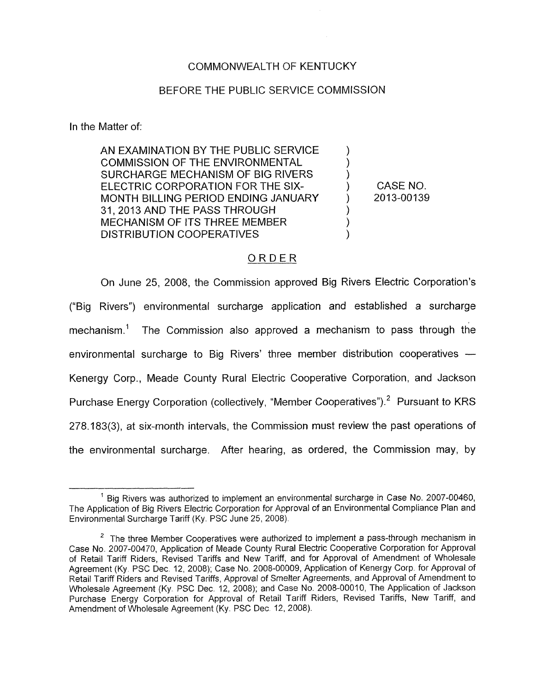## COMMONWEALTH OF KENTUCKY

### BEFORE THE PUBLIC SERVICE COMMISSION

In the Matter of:

AN EXAMINATION BY THE PUBLIC SERVICE COMMISSION OF THE ENVIRONMENTAL SURCHARGE MECHANISM OF BIG RIVERS MONTH BILLING PERIOD ENDING JANUARY 31,2013 AND THE PASS THROUGH MECHANISM OF ITS THREE MEMBER **DISTRIBUTION COOPERATIVES** ELECTRIC CORPORATION FOR THE SIX- )  $\sum_{i=1}^n$  $\sum_{i=1}^{n}$  $\sum_{i=1}^{n}$  $\sum_{i=1}^{n}$ )

CASE NO. ) 2013-00139

## ORDER

On June 25, 2008, the Commission approved Big Rivers Electric Corporation's ("Big Rivers") environmental surcharge application and established a surcharge mechanism.' The Commission also approved a mechanism to pass through the environmental surcharge to Big Rivers' three member distribution cooperatives -Kenergy Corp., Meade County Rural Electric Cooperative Corporation, and Jackson Purchase Energy Corporation (collectively, "Member Cooperatives").<sup>2</sup> Pursuant to KRS 278.183(3), at six-month intervals, the Commission must review the past operations of the environmental surcharge. After hearing, as ordered, the Commission may, by

<sup>&</sup>lt;sup>1</sup> Big Rivers was authorized to implement an environmental surcharge in Case No. 2007-00460, The Application of Big Rivers Electric Corporation for Approval of an Environmental Compliance Plan and Environmental Surcharge Tariff (Ky. PSC June 25, 2008).

The three Member Cooperatives were authorized to implement a pass-through mechanism in *2* Case *No.* 2007-00470, Application of Meade County Rural Electric Cooperative Corporation for Approval of Retail Tariff Riders, Revised Tariffs and New Tariff, and for Approval of Amendment of Wholesale Agreement (Ky PSC Dec. 12,, 2008); Case No. 2008-00009, Application of Kenergy Corp. for Approval *of*  Retail Tariff Riders and Revised Tariffs, Approval of Smelter Agreements, and Approval of Amendment to Wholesale Agreement (Ky. PSC Dec. 12, 2008); and Case No.. 2008-00010, The Application of Jackson Purchase Energy Corporation for Approval of Retail Tariff Riders, Revised Tariffs, New Tariff, and Amendment of Wholesale Agreement (Ky. PSC Dec. 12, 2008).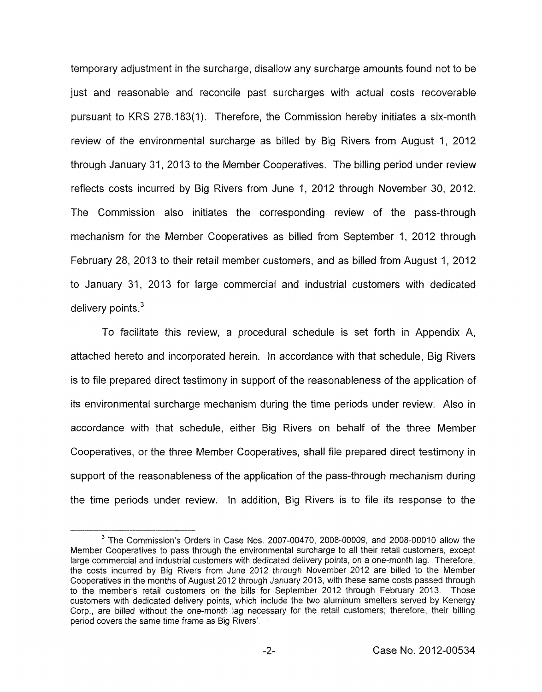temporary adjustment in the surcharge, disallow any surcharge amounts found not to be just and reasonable and reconcile past surcharges with actual costs recoverable pursuant to KRS 278.183(1). Therefore, the Commission hereby initiates a six-month review of the environmental surcharge as billed by Big Rivers from August 1, 2012 through January 31, 2013 to the Member Cooperatives. The billing period under review reflects costs incurred by Big Rivers from June I, 2012 through November 30, 2012. The Commission also initiates the corresponding review of the pass-through mechanism for the Member Cooperatives as billed from September 1, 2012 through February 28, 2013 to their retail member customers, and as billed from August 1, 2012 to January 31, 2013 for large commercial and industrial customers with dedicated delivery points. $3$ 

To facilitate this review, a procedural schedule is set forth in Appendix A, attached hereto and incorporated herein. In accordance with that schedule, Big Rivers is to file prepared direct testimony in support of the reasonableness of the application of its environmental surcharge mechanism during the time periods under review. Also in accordance with that schedule, either Big Rivers on behalf of the three Member Cooperatives, or the three Member Cooperatives, shall file prepared direct testimony in support of the reasonableness of the application of the pass-through mechanism during the time periods under review. In addition, Big Rivers is to file its response to the

The Commission's Orders in Case Nos. 2007-00470, 2008-00009, and 2008-00010 allow the **3**  Member Cooperatives to pass through the environmental surcharge to all their retail customers, except large commercial and industrial customers with dedicated delivery points, on a one-month lag. Therefore, the costs incurred by Big Rivers from June 2012 through November 2012 are billed to the Member Cooperatives in the months of August 2012 through January 2013, with these same costs passed through to the member's retail customers on the bills for September 2012 through February 2013. Those customers with dedicated delivery points, which include the two aluminum smelters served by Kenergy Corp., are billed without the one-month lag necessary for the retail customers; therefore, their billing period covers the same time frame as Big Rivers'.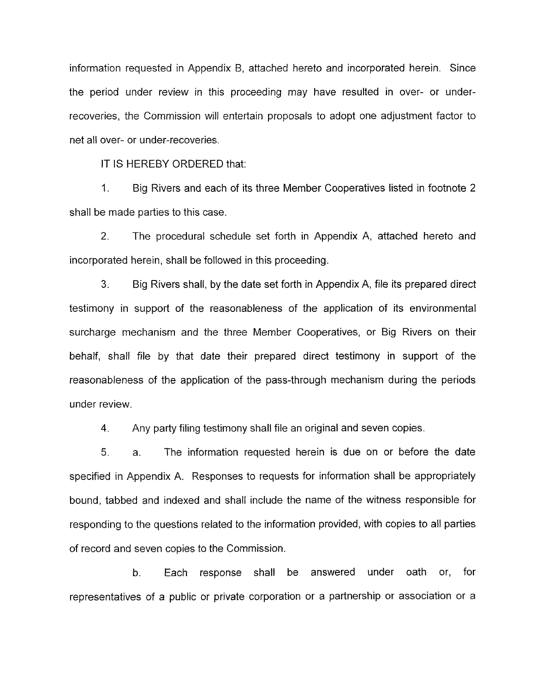information requested in Appendix B, attached hereto and incorporated herein. Since the period under review in this proceeding may have resulted in over- or underrecoveries, the Commission will entertain proposals to adopt one adjustment factor to net all over- or under-recoveries.

IT IS HEREBY ORDERED that:

1. Big Rivers and each of its three Member Cooperatives listed in footnote 2 shall be made parties to this case.

2. The procedural schedule set forth in Appendix A, attached hereto and incorporated herein, shall be followed in this proceeding.

**3.** Big Rivers shall, by the date set forth in Appendix A, file its prepared direct testimony in support of the reasonableness of the application of its environmental surcharge mechanism and the three Member Cooperatives, or Big Rivers on their behalf, shall file by that date their prepared direct testimony in support of the reasonableness of the application of the pass-through mechanism during the periods under review.

**4.**  Any party filing testimony shall file an original and seven copies.

5. a. The information requested herein is due on or before the date specified in Appendix A. Responses to requests for information shall be appropriately bound, tabbed and indexed and shall include the name of the witness responsible for responding to the questions related to the information provided, with copies to all parties of record and seven copies to the Commission.

b. Each response shall be answered under oath or, for representatives of a public or private corporation or a partnership or association or a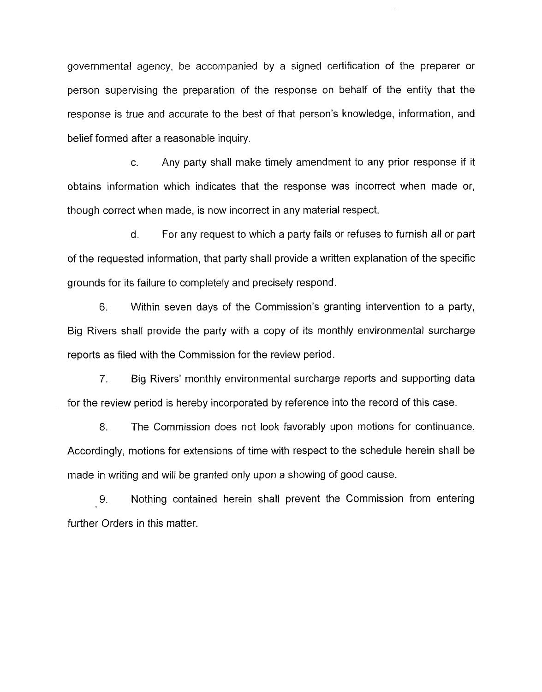governmental agency, be accompanied by a signed certification of the preparer or person supervising the preparation of the response on behalf of the entity that the response is true and accurate to the best of that person's knowledge, information, and belief formed after a reasonable inquiry.

c. Any party shall make timely amendment to any prior response if it obtains information which indicates that the response was incorrect when made or, though correct when made, is now incorrect in any material respect.

d. For any request to which a party fails or refuses to furnish all or part of the requested information, that party shall provide a written explanation of the specific grounds for its failure to completely and precisely respond.

6. Within seven days of the Commission's granting intervention to a party, Big Rivers shall provide the party with a copy of its monthly environmental surcharge reports as filed with the Commission for the review period.

*7.* Big Rivers' monthly environmental surcharge reports and supporting data for the review period is hereby incorporated by reference into the record of this case.

8. The Commission does not look favorably upon motions for continuance. Accordingly, motions for extensions of time with respect to the schedule herein shall be made in writing and will be granted only upon a showing of good cause.

9. Nothing contained herein shall prevent the Commission from entering further Orders in this matter.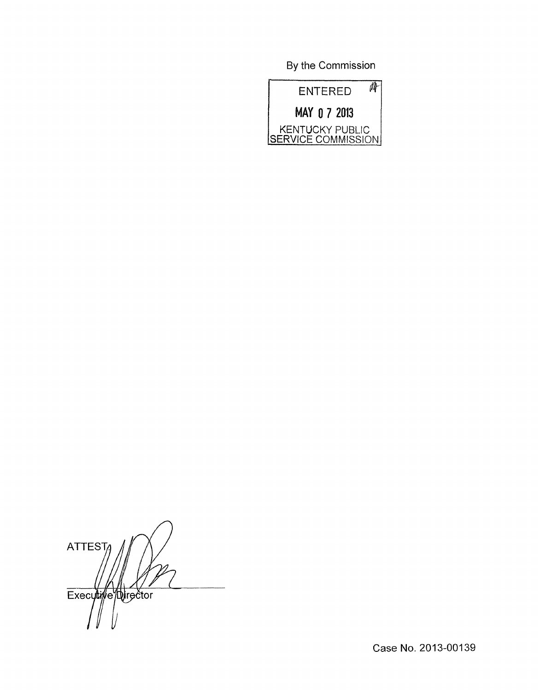By the Commission

| ENTERED                               |
|---------------------------------------|
| MAY 0 7 2013                          |
| KENTUCKY PUBLIC<br>SERVICE COMMISSION |

ATTEST Executive Director

Case No. 2013-00139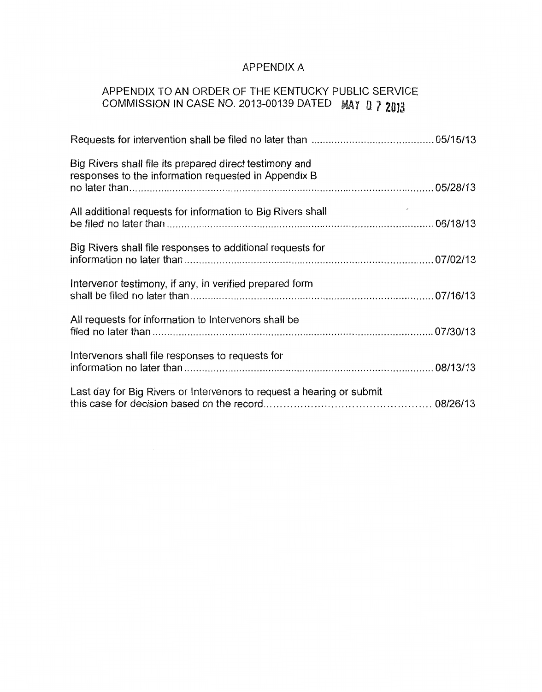# APPENDIX A

# APPENDIX TO AN ORDER OF THE KENTUCKY PUBLIC SERVICE COMMISSION IN CASE NO. 2013-00139 DATED MAY 0 7 2013

| Big Rivers shall file its prepared direct testimony and<br>responses to the information requested in Appendix B |  |
|-----------------------------------------------------------------------------------------------------------------|--|
| All additional requests for information to Big Rivers shall                                                     |  |
| Big Rivers shall file responses to additional requests for                                                      |  |
| Intervenor testimony, if any, in verified prepared form                                                         |  |
| All requests for information to Intervenors shall be                                                            |  |
| Intervenors shall file responses to requests for                                                                |  |
| Last day for Big Rivers or Intervenors to request a hearing or submit                                           |  |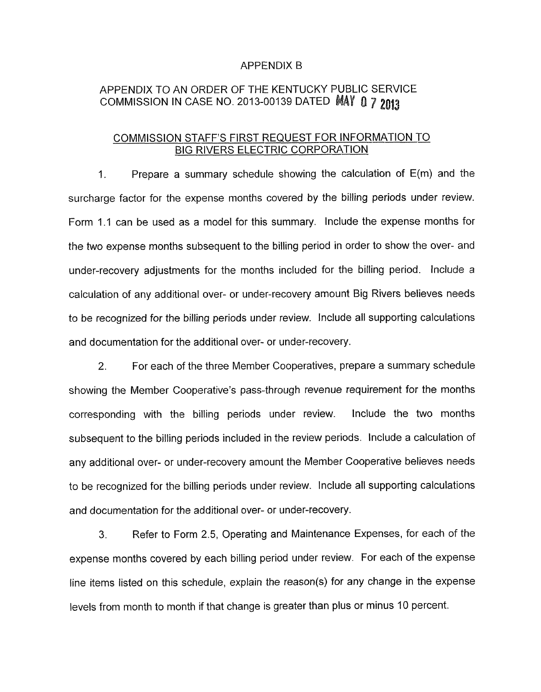#### APPENDIX B

# APPENDIX TO AN ORDER OF THE KENTUCKY PUBLIC SERVICE COMMISSION IN CASE NO. 2013-00139 DATED MAY 0 7 2013

## COMMISSION STAFF'S FIRST REQUEST FOR INFORMATION TO BIG RIVERS ELECTRIC CORPORATION

1. Prepare a summary schedule showing the calculation of E(m) and the surcharge factor for the expense months covered by the billing periods under review. Form 1.1 can be used as a model for this summary. Include the expense months for the two expense months subsequent to the billing period in order to show the over- and under-recovery adjustments for the months included for the billing period. Include a calculation of any additional over- or under-recovery amount Big Rivers believes needs to be recognized for the billing periods under review. Include all supporting calculations and documentation for the additional over- or under-recovery.

*2.* For each of the three Member Cooperatives, prepare a summary schedule showing the Member Cooperative's pass-through revenue requirement for the months corresponding with the billing periods under review. Include the two months subsequent to the billing periods included in the review periods. Include a calculation of any additional over- or under-recovery amount the Member Cooperative believes needs to be recognized for the billing periods under review. Include all supporting calculations and documentation for the additional over- or under-recovery.

**3.** Refer to Form 2.5, Operating and Maintenance Expenses, for each of the expense months covered by each billing period under review. For each of the expense line items listed on this schedule, explain the reason(s) for any change in the expense levels from month to month if that change is greater than plus or minus 10 percent.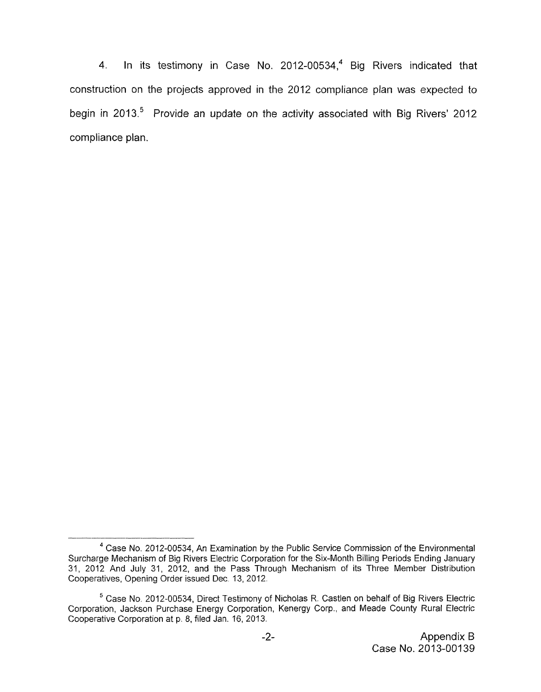4. In its testimony in Case No. 2012-00534, $4$  Big Rivers indicated that construction on the projects approved in the 2012 compliance plan was expected *to*  begin in 2013.<sup>5</sup> Provide an update on the activity associated with Big Rivers' 2012 compliance plan.

Case No, 2012-00534, An Examination by the Public Service Commission of the Environmental **4**  Surcharge Mechanism of Big Rivers Electric Corporation for the Six-Month Billing Periods Ending January 31, 2012 And July 31, 2012, and the Pass Through Mechanism of its Three Member Distribution Cooperatives, Opening Order issued Dee. 13, 2012.

 $5$  Case No. 2012-00534, Direct Testimony of Nicholas R. Castlen on behalf of Big Rivers Electric Corporation, Jackson Purchase Energy Corporation, Kenergy Corp., and Meade County Rural Electric Cooperative Corporation at p. 8, filed Jan. 16, 2013.